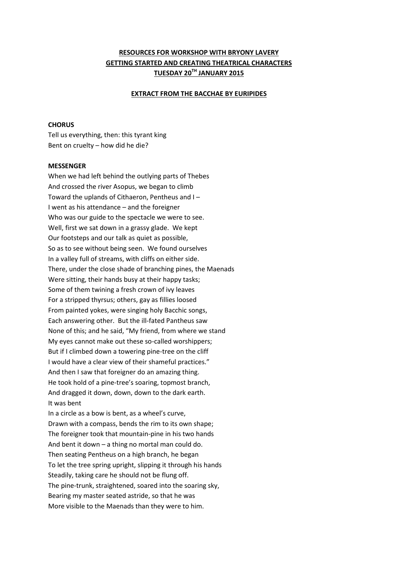# **RESOURCES FOR WORKSHOP WITH BRYONY LAVERY GETTING STARTED AND CREATING THEATRICAL CHARACTERS TUESDAY 20TH JANUARY 2015**

#### **EXTRACT FROM THE BACCHAE BY EURIPIDES**

#### **CHORUS**

Tell us everything, then: this tyrant king Bent on cruelty – how did he die?

#### **MESSENGER**

When we had left behind the outlying parts of Thebes And crossed the river Asopus, we began to climb Toward the uplands of Cithaeron, Pentheus and I – I went as his attendance – and the foreigner Who was our guide to the spectacle we were to see. Well, first we sat down in a grassy glade. We kept Our footsteps and our talk as quiet as possible, So as to see without being seen. We found ourselves In a valley full of streams, with cliffs on either side. There, under the close shade of branching pines, the Maenads Were sitting, their hands busy at their happy tasks; Some of them twining a fresh crown of ivy leaves For a stripped thyrsus; others, gay as fillies loosed From painted yokes, were singing holy Bacchic songs, Each answering other. But the ill-fated Pantheus saw None of this; and he said, "My friend, from where we stand My eyes cannot make out these so-called worshippers; But if I climbed down a towering pine-tree on the cliff I would have a clear view of their shameful practices." And then I saw that foreigner do an amazing thing. He took hold of a pine-tree's soaring, topmost branch, And dragged it down, down, down to the dark earth. It was bent In a circle as a bow is bent, as a wheel's curve,

Drawn with a compass, bends the rim to its own shape; The foreigner took that mountain-pine in his two hands And bent it down – a thing no mortal man could do. Then seating Pentheus on a high branch, he began To let the tree spring upright, slipping it through his hands Steadily, taking care he should not be flung off. The pine-trunk, straightened, soared into the soaring sky, Bearing my master seated astride, so that he was More visible to the Maenads than they were to him.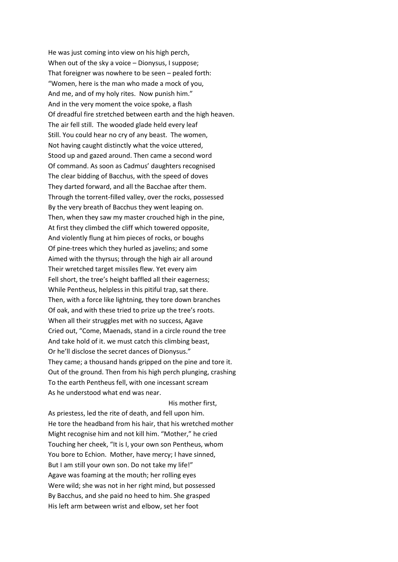He was just coming into view on his high perch, When out of the sky a voice – Dionysus, I suppose; That foreigner was nowhere to be seen – pealed forth: "Women, here is the man who made a mock of you, And me, and of my holy rites. Now punish him." And in the very moment the voice spoke, a flash Of dreadful fire stretched between earth and the high heaven. The air fell still. The wooded glade held every leaf Still. You could hear no cry of any beast. The women, Not having caught distinctly what the voice uttered, Stood up and gazed around. Then came a second word Of command. As soon as Cadmus' daughters recognised The clear bidding of Bacchus, with the speed of doves They darted forward, and all the Bacchae after them. Through the torrent-filled valley, over the rocks, possessed By the very breath of Bacchus they went leaping on. Then, when they saw my master crouched high in the pine, At first they climbed the cliff which towered opposite, And violently flung at him pieces of rocks, or boughs Of pine-trees which they hurled as javelins; and some Aimed with the thyrsus; through the high air all around Their wretched target missiles flew. Yet every aim Fell short, the tree's height baffled all their eagerness; While Pentheus, helpless in this pitiful trap, sat there. Then, with a force like lightning, they tore down branches Of oak, and with these tried to prize up the tree's roots. When all their struggles met with no success, Agave Cried out, "Come, Maenads, stand in a circle round the tree And take hold of it. we must catch this climbing beast, Or he'll disclose the secret dances of Dionysus." They came; a thousand hands gripped on the pine and tore it. Out of the ground. Then from his high perch plunging, crashing To the earth Pentheus fell, with one incessant scream As he understood what end was near.

His mother first,

As priestess, led the rite of death, and fell upon him. He tore the headband from his hair, that his wretched mother Might recognise him and not kill him. "Mother," he cried Touching her cheek, "It is I, your own son Pentheus, whom You bore to Echion. Mother, have mercy; I have sinned, But I am still your own son. Do not take my life!" Agave was foaming at the mouth; her rolling eyes Were wild; she was not in her right mind, but possessed By Bacchus, and she paid no heed to him. She grasped His left arm between wrist and elbow, set her foot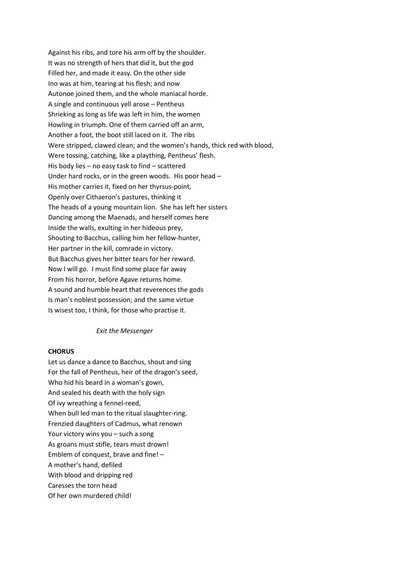Against his ribs, and tore his arm off by the shoulder. It was no strength of hers that did it, but the god Filled her, and made it easy. On the other side Ino was at him, tearing at his flesh; and now Autonoe joined them, and the whole maniacal horde. A single and continuous yell arose – Pentheus Shrieking as long as life was left in him, the women Howling in triumph. One of them carried off an arm, Another a foot, the boot still laced on it. The ribs Were stripped, clawed clean; and the women's hands, thick red with blood, Were tossing, catching, like a plaything, Pentheus' flesh. His body lies – no easy task to find – scattered Under hard rocks, or in the green woods. His poor head – His mother carries it, fixed on her thyrsus-point, Openly over Cithaeron's pastures, thinking it The heads of a young mountain lion. She has left her sisters Dancing among the Maenads, and herself comes here Inside the walls, exulting in her hideous prey, Shouting to Bacchus, calling him her fellow-hunter, Her partner in the kill, comrade in victory. But Bacchus gives her bitter tears for her reward. Now I will go. I must find some place far away From his horror, before Agave returns home. A sound and humble heart that reverences the gods Is man's noblest possession; and the same virtue Is wisest too, I think, for those who practise it.

### *Exit the Messenger*

#### **CHORUS**

Let us dance a dance to Bacchus, shout and sing For the fall of Pentheus, heir of the dragon's seed, Who hid his beard in a woman's gown, And sealed his death with the holy sign Of ivy wreathing a fennel-reed, When bull led man to the ritual slaughter-ring. Frenzied daughters of Cadmus, what renown Your victory wins you – such a song As groans must stifle, tears must drown! Emblem of conquest, brave and fine! – A mother's hand, defiled With blood and dripping red Caresses the torn head Of her own murdered child!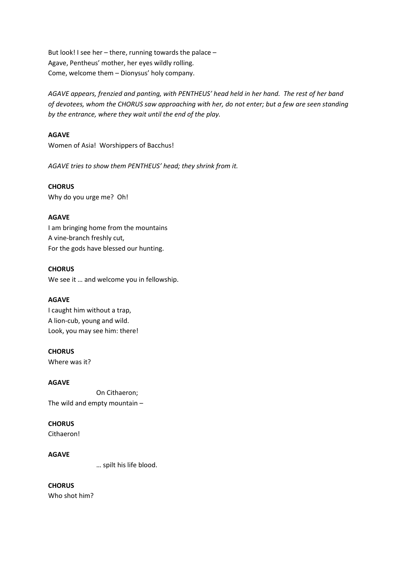But look! I see her – there, running towards the palace – Agave, Pentheus' mother, her eyes wildly rolling. Come, welcome them – Dionysus' holy company.

*AGAVE appears, frenzied and panting, with PENTHEUS' head held in her hand. The rest of her band of devotees, whom the CHORUS saw approaching with her, do not enter; but a few are seen standing by the entrance, where they wait until the end of the play.*

## **AGAVE**

Women of Asia! Worshippers of Bacchus!

*AGAVE tries to show them PENTHEUS' head; they shrink from it.*

## **CHORUS**

Why do you urge me? Oh!

## **AGAVE**

I am bringing home from the mountains A vine-branch freshly cut, For the gods have blessed our hunting.

## **CHORUS**

We see it … and welcome you in fellowship.

### **AGAVE**

I caught him without a trap, A lion-cub, young and wild. Look, you may see him: there!

### **CHORUS**

Where was it?

### **AGAVE**

On Cithaeron; The wild and empty mountain –

## **CHORUS**

Cithaeron!

### **AGAVE**

… spilt his life blood.

**CHORUS** Who shot him?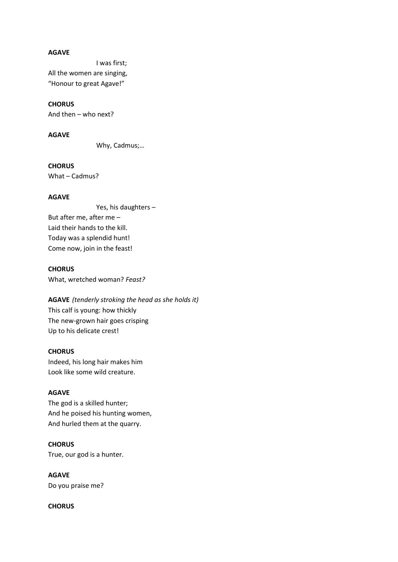#### **AGAVE**

I was first; All the women are singing, "Honour to great Agave!"

**CHORUS** And then – who next?

**AGAVE**

Why, Cadmus;…

**CHORUS** What – Cadmus?

## **AGAVE**

Yes, his daughters – But after me, after me – Laid their hands to the kill. Today was a splendid hunt! Come now, join in the feast!

## **CHORUS**

What, wretched woman? *Feast?*

**AGAVE** *(tenderly stroking the head as she holds it)* This calf is young: how thickly The new-grown hair goes crisping Up to his delicate crest!

## **CHORUS**

Indeed, his long hair makes him Look like some wild creature.

## **AGAVE**

The god is a skilled hunter; And he poised his hunting women, And hurled them at the quarry.

**CHORUS**

True, our god is a hunter.

**AGAVE** Do you praise me?

**CHORUS**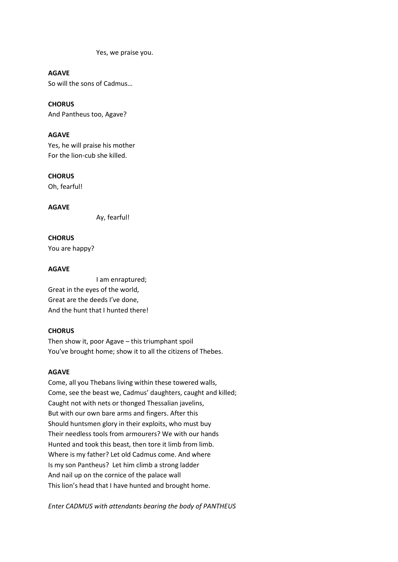Yes, we praise you.

#### **AGAVE**

So will the sons of Cadmus…

## **CHORUS**

And Pantheus too, Agave?

## **AGAVE**

Yes, he will praise his mother For the lion-cub she killed.

### **CHORUS**

Oh, fearful!

### **AGAVE**

Ay, fearful!

**CHORUS** You are happy?

#### **AGAVE**

I am enraptured; Great in the eyes of the world, Great are the deeds I've done, And the hunt that I hunted there!

#### **CHORUS**

Then show it, poor Agave – this triumphant spoil You've brought home; show it to all the citizens of Thebes.

#### **AGAVE**

Come, all you Thebans living within these towered walls, Come, see the beast we, Cadmus' daughters, caught and killed; Caught not with nets or thonged Thessalian javelins, But with our own bare arms and fingers. After this Should huntsmen glory in their exploits, who must buy Their needless tools from armourers? We with our hands Hunted and took this beast, then tore it limb from limb. Where is my father? Let old Cadmus come. And where Is my son Pantheus? Let him climb a strong ladder And nail up on the cornice of the palace wall This lion's head that I have hunted and brought home.

*Enter CADMUS with attendants bearing the body of PANTHEUS*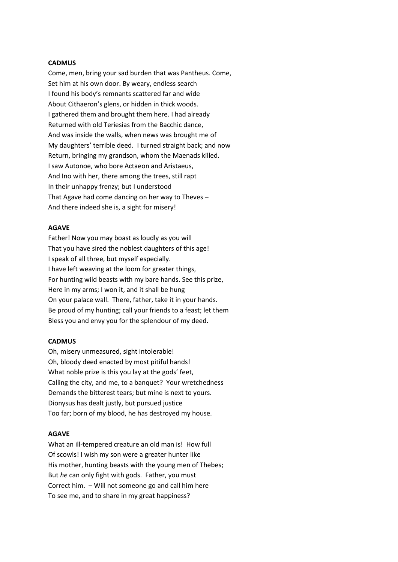## **CADMUS**

Come, men, bring your sad burden that was Pantheus. Come, Set him at his own door. By weary, endless search I found his body's remnants scattered far and wide About Cithaeron's glens, or hidden in thick woods. I gathered them and brought them here. I had already Returned with old Teriesias from the Bacchic dance, And was inside the walls, when news was brought me of My daughters' terrible deed. I turned straight back; and now Return, bringing my grandson, whom the Maenads killed. I saw Autonoe, who bore Actaeon and Aristaeus, And Ino with her, there among the trees, still rapt In their unhappy frenzy; but I understood That Agave had come dancing on her way to Theves – And there indeed she is, a sight for misery!

#### **AGAVE**

Father! Now you may boast as loudly as you will That you have sired the noblest daughters of this age! I speak of all three, but myself especially. I have left weaving at the loom for greater things, For hunting wild beasts with my bare hands. See this prize, Here in my arms; I won it, and it shall be hung On your palace wall. There, father, take it in your hands. Be proud of my hunting; call your friends to a feast; let them Bless you and envy you for the splendour of my deed.

## **CADMUS**

Oh, misery unmeasured, sight intolerable! Oh, bloody deed enacted by most pitiful hands! What noble prize is this you lay at the gods' feet, Calling the city, and me, to a banquet? Your wretchedness Demands the bitterest tears; but mine is next to yours. Dionysus has dealt justly, but pursued justice Too far; born of my blood, he has destroyed my house.

#### **AGAVE**

What an ill-tempered creature an old man is! How full Of scowls! I wish my son were a greater hunter like His mother, hunting beasts with the young men of Thebes; But *he* can only fight with gods. Father, you must Correct him. – Will not someone go and call him here To see me, and to share in my great happiness?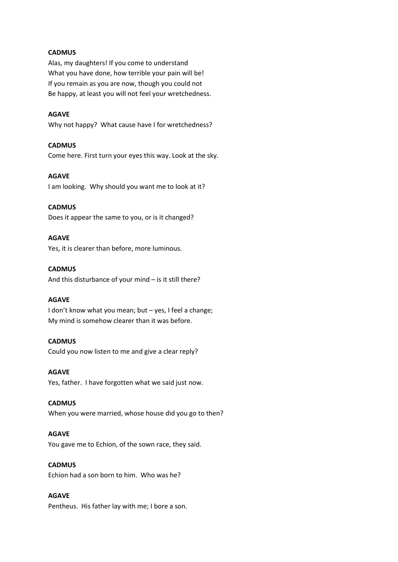### **CADMUS**

Alas, my daughters! If you come to understand What you have done, how terrible your pain will be! If you remain as you are now, though you could not Be happy, at least you will not feel your wretchedness.

## **AGAVE**

Why not happy? What cause have I for wretchedness?

## **CADMUS**

Come here. First turn your eyes this way. Look at the sky.

#### **AGAVE**

I am looking. Why should you want me to look at it?

#### **CADMUS**

Does it appear the same to you, or is it changed?

### **AGAVE**

Yes, it is clearer than before, more luminous.

### **CADMUS**

And this disturbance of your mind – is it still there?

#### **AGAVE**

I don't know what you mean; but – yes, I feel a change; My mind is somehow clearer than it was before.

## **CADMUS**

Could you now listen to me and give a clear reply?

#### **AGAVE**

Yes, father. I have forgotten what we said just now.

#### **CADMUS**

When you were married, whose house did you go to then?

### **AGAVE**

You gave me to Echion, of the sown race, they said.

## **CADMUS**

Echion had a son born to him. Who was he?

## **AGAVE**

Pentheus. His father lay with me; I bore a son.